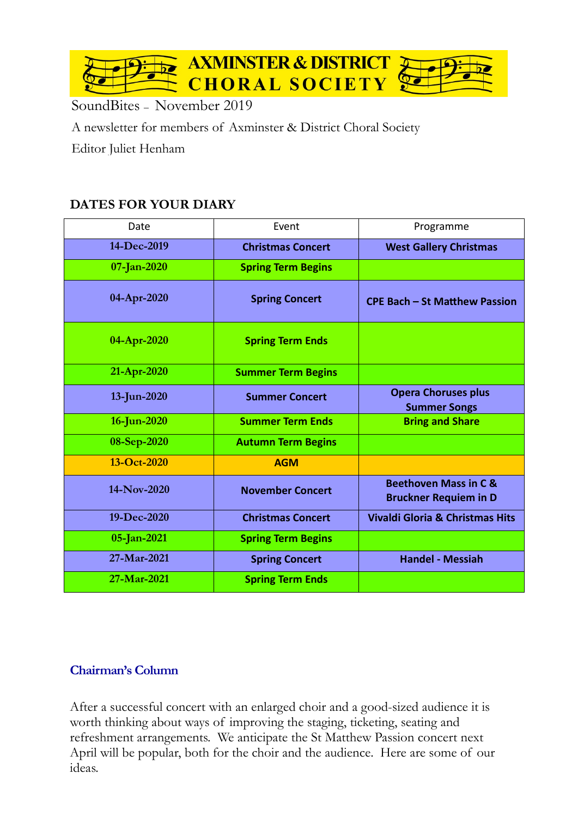

SoundBites – November 2019

A newsletter for members of Axminster & District Choral Society

Editor Juliet Henham

## **DATES FOR YOUR DIARY**

| Date        | Event                     | Programme                                                        |  |
|-------------|---------------------------|------------------------------------------------------------------|--|
| 14-Dec-2019 | <b>Christmas Concert</b>  | <b>West Gallery Christmas</b>                                    |  |
| 07-Jan-2020 | <b>Spring Term Begins</b> |                                                                  |  |
| 04-Apr-2020 | <b>Spring Concert</b>     | <b>CPE Bach - St Matthew Passion</b>                             |  |
| 04-Apr-2020 | <b>Spring Term Ends</b>   |                                                                  |  |
| 21-Apr-2020 | <b>Summer Term Begins</b> |                                                                  |  |
| 13-Jun-2020 | <b>Summer Concert</b>     | <b>Opera Choruses plus</b><br><b>Summer Songs</b>                |  |
| 16-Jun-2020 | <b>Summer Term Ends</b>   | <b>Bring and Share</b>                                           |  |
| 08-Sep-2020 | <b>Autumn Term Begins</b> |                                                                  |  |
| 13-Oct-2020 | <b>AGM</b>                |                                                                  |  |
| 14-Nov-2020 | <b>November Concert</b>   | <b>Beethoven Mass in C &amp;</b><br><b>Bruckner Requiem in D</b> |  |
| 19-Dec-2020 | <b>Christmas Concert</b>  | <b>Vivaldi Gloria &amp; Christmas Hits</b>                       |  |
| 05-Jan-2021 | <b>Spring Term Begins</b> |                                                                  |  |
| 27-Mar-2021 | <b>Spring Concert</b>     | <b>Handel - Messiah</b>                                          |  |
| 27-Mar-2021 | <b>Spring Term Ends</b>   |                                                                  |  |

## **Chairman's Column**

After a successful concert with an enlarged choir and a good-sized audience it is worth thinking about ways of improving the staging, ticketing, seating and refreshment arrangements. We anticipate the St Matthew Passion concert next April will be popular, both for the choir and the audience. Here are some of our ideas.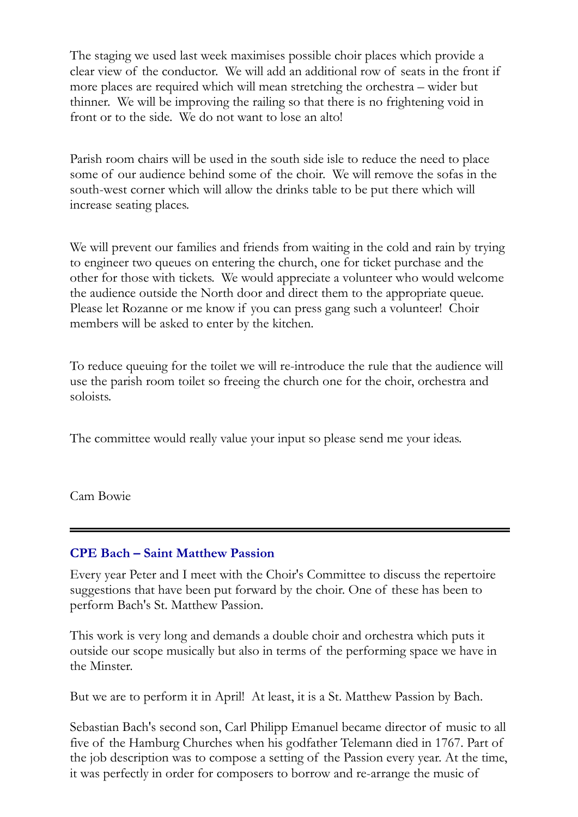The staging we used last week maximises possible choir places which provide a clear view of the conductor. We will add an additional row of seats in the front if more places are required which will mean stretching the orchestra – wider but thinner. We will be improving the railing so that there is no frightening void in front or to the side. We do not want to lose an alto!

Parish room chairs will be used in the south side isle to reduce the need to place some of our audience behind some of the choir. We will remove the sofas in the south-west corner which will allow the drinks table to be put there which will increase seating places.

We will prevent our families and friends from waiting in the cold and rain by trying to engineer two queues on entering the church, one for ticket purchase and the other for those with tickets. We would appreciate a volunteer who would welcome the audience outside the North door and direct them to the appropriate queue. Please let Rozanne or me know if you can press gang such a volunteer! Choir members will be asked to enter by the kitchen.

To reduce queuing for the toilet we will re-introduce the rule that the audience will use the parish room toilet so freeing the church one for the choir, orchestra and soloists.

The committee would really value your input so please send me your ideas.

Cam Bowie

## **CPE Bach – Saint Matthew Passion**

Every year Peter and I meet with the Choir's Committee to discuss the repertoire suggestions that have been put forward by the choir. One of these has been to perform Bach's St. Matthew Passion.

This work is very long and demands a double choir and orchestra which puts it outside our scope musically but also in terms of the performing space we have in the Minster.

But we are to perform it in April! At least, it is a St. Matthew Passion by Bach.

Sebastian Bach's second son, Carl Philipp Emanuel became director of music to all five of the Hamburg Churches when his godfather Telemann died in 1767. Part of the job description was to compose a setting of the Passion every year. At the time, it was perfectly in order for composers to borrow and re-arrange the music of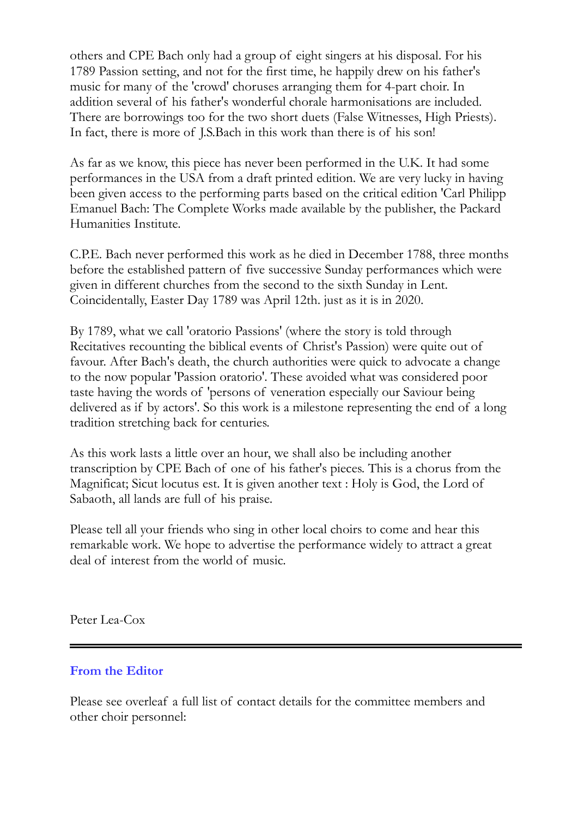others and CPE Bach only had a group of eight singers at his disposal. For his 1789 Passion setting, and not for the first time, he happily drew on his father's music for many of the 'crowd' choruses arranging them for 4-part choir. In addition several of his father's wonderful chorale harmonisations are included. There are borrowings too for the two short duets (False Witnesses, High Priests). In fact, there is more of J.S.Bach in this work than there is of his son!

As far as we know, this piece has never been performed in the U.K. It had some performances in the USA from a draft printed edition. We are very lucky in having been given access to the performing parts based on the critical edition 'Carl Philipp Emanuel Bach: The Complete Works made available by the publisher, the Packard Humanities Institute.

C.P.E. Bach never performed this work as he died in December 1788, three months before the established pattern of five successive Sunday performances which were given in different churches from the second to the sixth Sunday in Lent. Coincidentally, Easter Day 1789 was April 12th. just as it is in 2020.

By 1789, what we call 'oratorio Passions' (where the story is told through Recitatives recounting the biblical events of Christ's Passion) were quite out of favour. After Bach's death, the church authorities were quick to advocate a change to the now popular 'Passion oratorio'. These avoided what was considered poor taste having the words of 'persons of veneration especially our Saviour being delivered as if by actors'. So this work is a milestone representing the end of a long tradition stretching back for centuries.

As this work lasts a little over an hour, we shall also be including another transcription by CPE Bach of one of his father's pieces. This is a chorus from the Magnificat; Sicut locutus est. It is given another text : Holy is God, the Lord of Sabaoth, all lands are full of his praise.

Please tell all your friends who sing in other local choirs to come and hear this remarkable work. We hope to advertise the performance widely to attract a great deal of interest from the world of music.

Peter Lea-Cox

## **From the Editor**

Please see overleaf a full list of contact details for the committee members and other choir personnel: